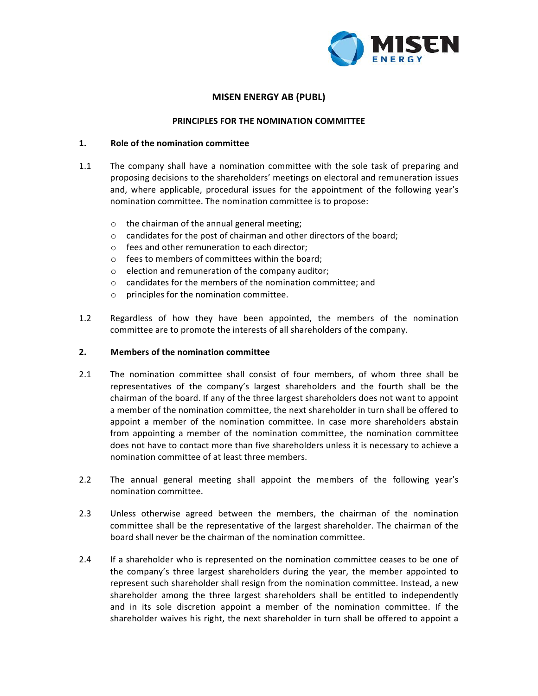

# **MISEN ENERGY AB (PUBL)**

### **PRINCIPLES FOR THE NOMINATION COMMITTEE**

#### **1. Role of the nomination committee**

- 1.1 The company shall have a nomination committee with the sole task of preparing and proposing decisions to the shareholders' meetings on electoral and remuneration issues and, where applicable, procedural issues for the appointment of the following year's nomination committee. The nomination committee is to propose:
	- $\circ$  the chairman of the annual general meeting;
	- $\circ$  candidates for the post of chairman and other directors of the board;
	- $\circ$  fees and other remuneration to each director;
	- $\circ$  fees to members of committees within the board;
	- $\circ$  election and remuneration of the company auditor;
	- $\circ$  candidates for the members of the nomination committee; and
	- $\circ$  principles for the nomination committee.
- 1.2 Regardless of how they have been appointed, the members of the nomination committee are to promote the interests of all shareholders of the company.

#### **2.** Members of the nomination committee

- 2.1 The nomination committee shall consist of four members, of whom three shall be representatives of the company's largest shareholders and the fourth shall be the chairman of the board. If any of the three largest shareholders does not want to appoint a member of the nomination committee, the next shareholder in turn shall be offered to appoint a member of the nomination committee. In case more shareholders abstain from appointing a member of the nomination committee, the nomination committee does not have to contact more than five shareholders unless it is necessary to achieve a nomination committee of at least three members.
- 2.2 The annual general meeting shall appoint the members of the following year's nomination committee.
- 2.3 Unless otherwise agreed between the members, the chairman of the nomination committee shall be the representative of the largest shareholder. The chairman of the board shall never be the chairman of the nomination committee.
- 2.4 If a shareholder who is represented on the nomination committee ceases to be one of the company's three largest shareholders during the year, the member appointed to represent such shareholder shall resign from the nomination committee. Instead, a new shareholder among the three largest shareholders shall be entitled to independently and in its sole discretion appoint a member of the nomination committee. If the shareholder waives his right, the next shareholder in turn shall be offered to appoint a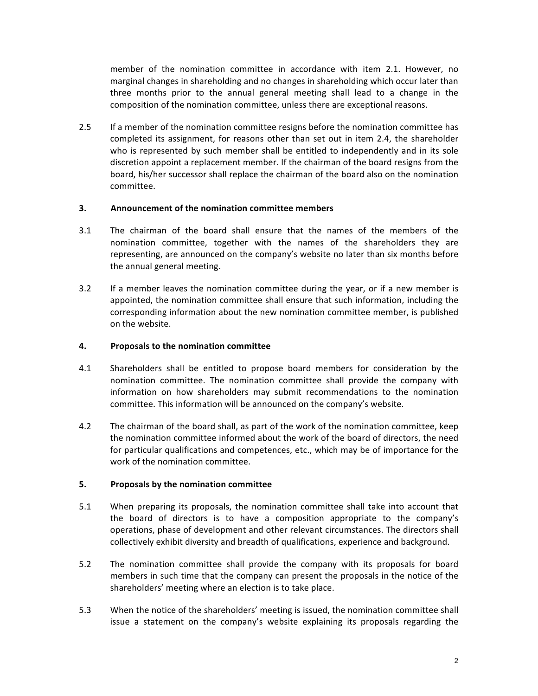member of the nomination committee in accordance with item 2.1. However, no marginal changes in shareholding and no changes in shareholding which occur later than three months prior to the annual general meeting shall lead to a change in the composition of the nomination committee, unless there are exceptional reasons.

2.5 If a member of the nomination committee resigns before the nomination committee has completed its assignment, for reasons other than set out in item 2.4, the shareholder who is represented by such member shall be entitled to independently and in its sole discretion appoint a replacement member. If the chairman of the board resigns from the board, his/her successor shall replace the chairman of the board also on the nomination committee.

## **3. Announcement of the nomination committee members**

- 3.1 The chairman of the board shall ensure that the names of the members of the nomination committee, together with the names of the shareholders they are representing, are announced on the company's website no later than six months before the annual general meeting.
- 3.2 If a member leaves the nomination committee during the year, or if a new member is appointed, the nomination committee shall ensure that such information, including the corresponding information about the new nomination committee member, is published on the website.

#### **4.** Proposals to the nomination committee

- 4.1 Shareholders shall be entitled to propose board members for consideration by the nomination committee. The nomination committee shall provide the company with information on how shareholders may submit recommendations to the nomination committee. This information will be announced on the company's website.
- 4.2 The chairman of the board shall, as part of the work of the nomination committee, keep the nomination committee informed about the work of the board of directors, the need for particular qualifications and competences, etc., which may be of importance for the work of the nomination committee.

## **5.** Proposals by the nomination committee

- 5.1 When preparing its proposals, the nomination committee shall take into account that the board of directors is to have a composition appropriate to the company's operations, phase of development and other relevant circumstances. The directors shall collectively exhibit diversity and breadth of qualifications, experience and background.
- 5.2 The nomination committee shall provide the company with its proposals for board members in such time that the company can present the proposals in the notice of the shareholders' meeting where an election is to take place.
- 5.3 When the notice of the shareholders' meeting is issued, the nomination committee shall issue a statement on the company's website explaining its proposals regarding the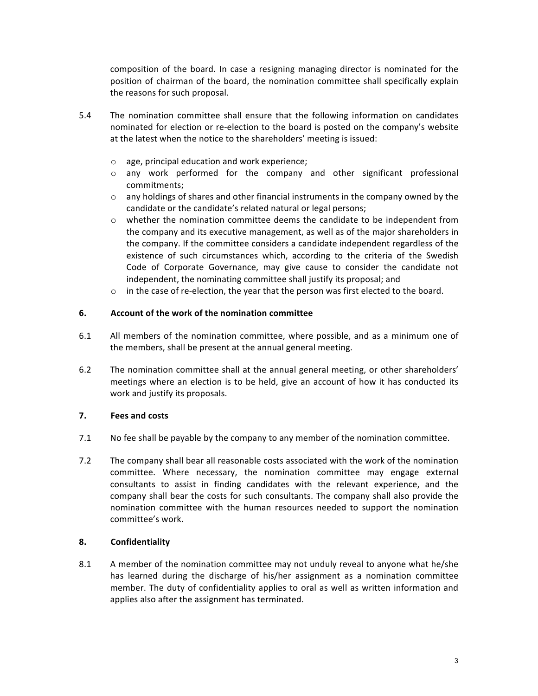composition of the board. In case a resigning managing director is nominated for the position of chairman of the board, the nomination committee shall specifically explain the reasons for such proposal.

- 5.4 The nomination committee shall ensure that the following information on candidates nominated for election or re-election to the board is posted on the company's website at the latest when the notice to the shareholders' meeting is issued:
	- $\circ$  age, principal education and work experience;
	- $\circ$  any work performed for the company and other significant professional commitments;
	- $\circ$  any holdings of shares and other financial instruments in the company owned by the candidate or the candidate's related natural or legal persons;
	- $\circ$  whether the nomination committee deems the candidate to be independent from the company and its executive management, as well as of the major shareholders in the company. If the committee considers a candidate independent regardless of the existence of such circumstances which, according to the criteria of the Swedish Code of Corporate Governance, may give cause to consider the candidate not independent, the nominating committee shall justify its proposal; and
	- $\circ$  in the case of re-election, the year that the person was first elected to the board.

#### **6.** Account of the work of the nomination committee

- 6.1 All members of the nomination committee, where possible, and as a minimum one of the members, shall be present at the annual general meeting.
- 6.2 The nomination committee shall at the annual general meeting, or other shareholders' meetings where an election is to be held, give an account of how it has conducted its work and justify its proposals.

## **7. Fees and costs**

- 7.1 No fee shall be payable by the company to any member of the nomination committee.
- 7.2 The company shall bear all reasonable costs associated with the work of the nomination committee. Where necessary, the nomination committee may engage external consultants to assist in finding candidates with the relevant experience, and the company shall bear the costs for such consultants. The company shall also provide the nomination committee with the human resources needed to support the nomination committee's work.

## **8. Confidentiality**

8.1 A member of the nomination committee may not unduly reveal to anyone what he/she has learned during the discharge of his/her assignment as a nomination committee member. The duty of confidentiality applies to oral as well as written information and applies also after the assignment has terminated.